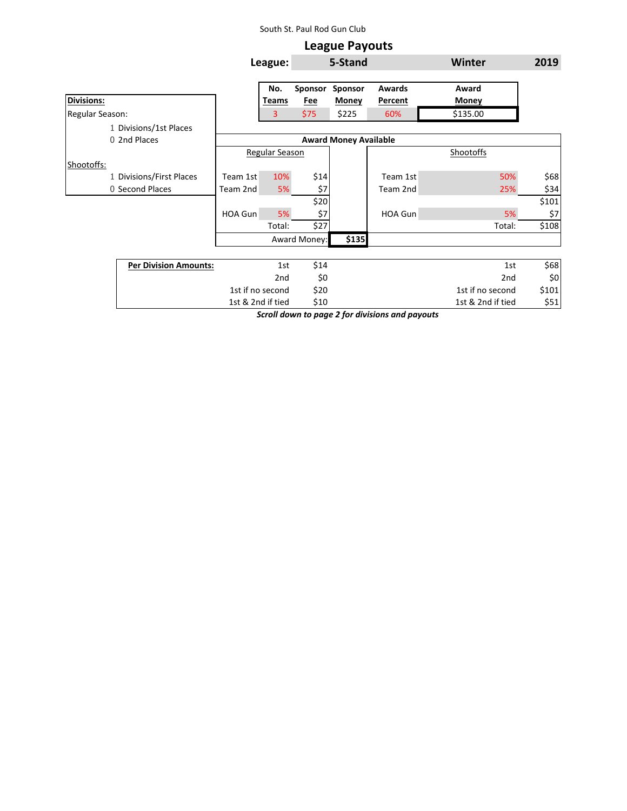## South St. Paul Rod Gun Club

|                              |                              |                | <b>League Payouts</b> |              |                |                   |       |
|------------------------------|------------------------------|----------------|-----------------------|--------------|----------------|-------------------|-------|
|                              |                              | League:        | 5-Stand               |              |                | <b>Winter</b>     | 2019  |
|                              |                              | No.            | Sponsor               | Sponsor      | <b>Awards</b>  | Award             |       |
| <b>Divisions:</b>            |                              | Teams          | <u>Fee</u>            | <b>Money</b> | <b>Percent</b> | <b>Money</b>      |       |
| Regular Season:              |                              | 3              | \$75                  | \$225        | 60%            | \$135.00          |       |
| 1 Divisions/1st Places       |                              |                |                       |              |                |                   |       |
| 0 2nd Places                 | <b>Award Money Available</b> |                |                       |              |                |                   |       |
|                              |                              | Regular Season |                       |              |                | <b>Shootoffs</b>  |       |
| Shootoffs:                   |                              |                |                       |              |                |                   |       |
| 1 Divisions/First Places     | Team 1st                     | 10%            | \$14                  |              | Team 1st       | 50%               | \$68] |
| 0 Second Places              | Team 2nd                     | 5%             | \$7                   |              | Team 2nd       | 25%               | \$34  |
|                              |                              |                | \$20                  |              |                |                   | \$101 |
|                              | HOA Gun                      | 5%             | \$7                   |              | HOA Gun        | 5%                | \$7   |
|                              |                              | Total:         | \$27                  |              |                | Total:            | \$108 |
|                              |                              |                | Award Money:          | \$135        |                |                   |       |
|                              |                              |                |                       |              |                |                   |       |
| <b>Per Division Amounts:</b> |                              | 1st            | \$14                  |              |                | 1st               | \$68  |
|                              |                              | 2nd            | \$0                   |              |                | 2nd               | \$0   |
|                              | 1st if no second             |                | \$20                  |              |                | 1st if no second  | \$101 |
|                              | 1st & 2nd if tied            |                | \$10                  |              |                | 1st & 2nd if tied | \$51  |

*Scroll down to page 2 for divisions and payouts*